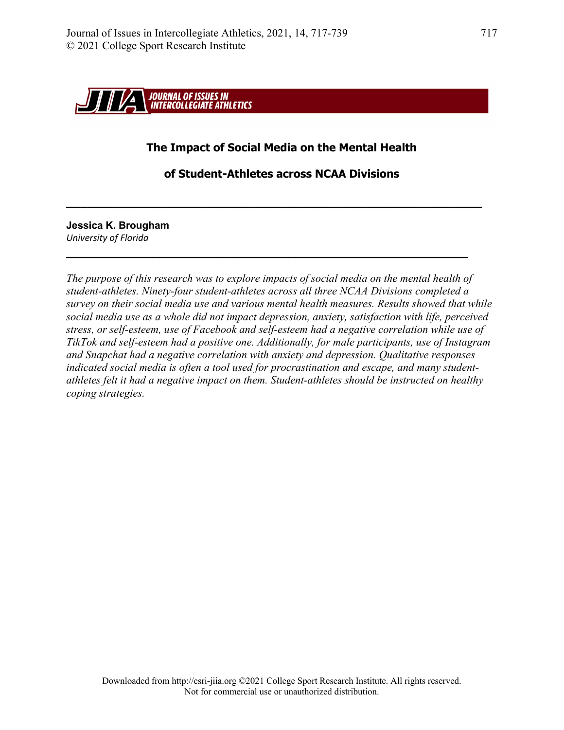

# **The Impact of Social Media on the Mental Health**

**of Student-Athletes across NCAA Divisions**

**\_\_\_\_\_\_\_\_\_\_\_\_\_\_\_\_\_\_\_\_\_\_\_\_\_\_\_\_\_\_\_\_\_\_\_\_\_\_\_\_\_\_\_\_\_\_\_\_\_\_\_\_\_\_\_\_\_\_**

**\_\_\_\_\_\_\_\_\_\_\_\_\_\_\_\_\_\_\_\_\_\_\_\_\_\_\_\_\_\_\_\_\_\_\_\_\_\_\_\_\_\_\_\_\_\_\_\_\_\_\_\_\_\_\_\_**

**Jessica K. Brougham** *University of Florida*

*The purpose of this research was to explore impacts of social media on the mental health of student-athletes. Ninety-four student-athletes across all three NCAA Divisions completed a survey on their social media use and various mental health measures. Results showed that while social media use as a whole did not impact depression, anxiety, satisfaction with life, perceived stress, or self-esteem, use of Facebook and self-esteem had a negative correlation while use of TikTok and self-esteem had a positive one. Additionally, for male participants, use of Instagram and Snapchat had a negative correlation with anxiety and depression. Qualitative responses indicated social media is often a tool used for procrastination and escape, and many studentathletes felt it had a negative impact on them. Student-athletes should be instructed on healthy coping strategies.*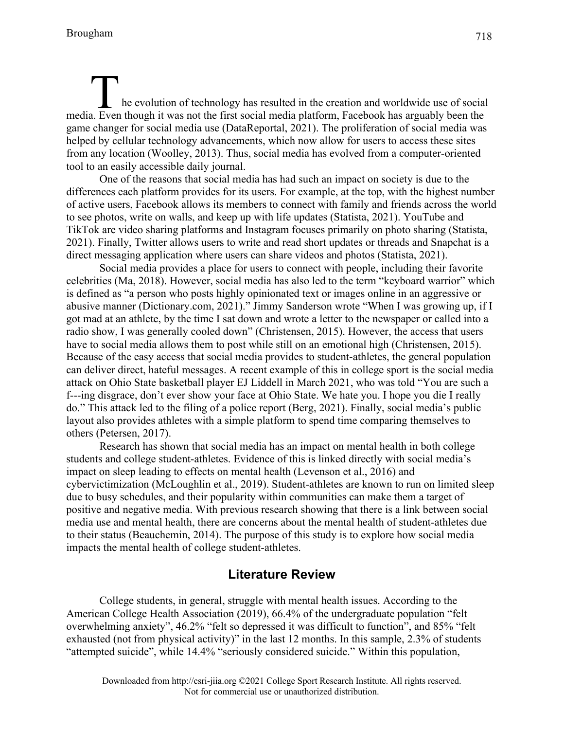# he evolution of technology has resulted in the creation and worldwide use of social The evolution of technology has resulted in the creation and worldwide use of social media. Even though it was not the first social media platform, Facebook has arguably been the game changer for social media use (DataReportal, 2021). The proliferation of social media was helped by cellular technology advancements, which now allow for users to access these sites from any location (Woolley, 2013). Thus, social media has evolved from a computer-oriented tool to an easily accessible daily journal.

One of the reasons that social media has had such an impact on society is due to the differences each platform provides for its users. For example, at the top, with the highest number of active users, Facebook allows its members to connect with family and friends across the world to see photos, write on walls, and keep up with life updates (Statista, 2021). YouTube and TikTok are video sharing platforms and Instagram focuses primarily on photo sharing (Statista, 2021). Finally, Twitter allows users to write and read short updates or threads and Snapchat is a direct messaging application where users can share videos and photos (Statista, 2021).

Social media provides a place for users to connect with people, including their favorite celebrities (Ma, 2018). However, social media has also led to the term "keyboard warrior" which is defined as "a person who posts highly opinionated text or images online in an aggressive or abusive manner (Dictionary.com, 2021)." Jimmy Sanderson wrote "When I was growing up, if I got mad at an athlete, by the time I sat down and wrote a letter to the newspaper or called into a radio show, I was generally cooled down" (Christensen, 2015). However, the access that users have to social media allows them to post while still on an emotional high (Christensen, 2015). Because of the easy access that social media provides to student-athletes, the general population can deliver direct, hateful messages. A recent example of this in college sport is the social media attack on Ohio State basketball player EJ Liddell in March 2021, who was told "You are such a f---ing disgrace, don't ever show your face at Ohio State. We hate you. I hope you die I really do." This attack led to the filing of a police report (Berg, 2021). Finally, social media's public layout also provides athletes with a simple platform to spend time comparing themselves to others (Petersen, 2017).

Research has shown that social media has an impact on mental health in both college students and college student-athletes. Evidence of this is linked directly with social media's impact on sleep leading to effects on mental health (Levenson et al., 2016) and cybervictimization (McLoughlin et al., 2019). Student-athletes are known to run on limited sleep due to busy schedules, and their popularity within communities can make them a target of positive and negative media. With previous research showing that there is a link between social media use and mental health, there are concerns about the mental health of student-athletes due to their status (Beauchemin, 2014). The purpose of this study is to explore how social media impacts the mental health of college student-athletes.

# **Literature Review**

College students, in general, struggle with mental health issues. According to the American College Health Association (2019), 66.4% of the undergraduate population "felt overwhelming anxiety", 46.2% "felt so depressed it was difficult to function", and 85% "felt exhausted (not from physical activity)" in the last 12 months. In this sample, 2.3% of students "attempted suicide", while 14.4% "seriously considered suicide." Within this population,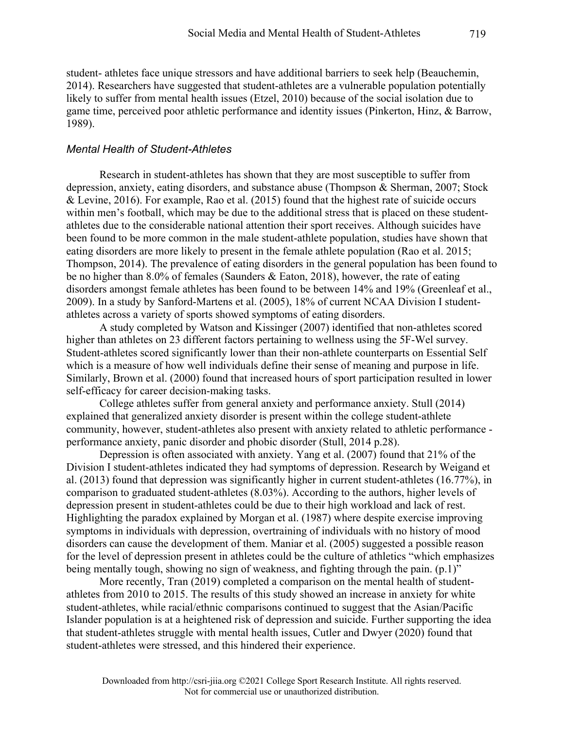student- athletes face unique stressors and have additional barriers to seek help (Beauchemin, 2014). Researchers have suggested that student-athletes are a vulnerable population potentially likely to suffer from mental health issues (Etzel, 2010) because of the social isolation due to game time, perceived poor athletic performance and identity issues (Pinkerton, Hinz, & Barrow, 1989).

### *Mental Health of Student-Athletes*

Research in student-athletes has shown that they are most susceptible to suffer from depression, anxiety, eating disorders, and substance abuse (Thompson & Sherman, 2007; Stock & Levine, 2016). For example, Rao et al. (2015) found that the highest rate of suicide occurs within men's football, which may be due to the additional stress that is placed on these studentathletes due to the considerable national attention their sport receives. Although suicides have been found to be more common in the male student-athlete population, studies have shown that eating disorders are more likely to present in the female athlete population (Rao et al. 2015; Thompson, 2014). The prevalence of eating disorders in the general population has been found to be no higher than 8.0% of females (Saunders & Eaton, 2018), however, the rate of eating disorders amongst female athletes has been found to be between 14% and 19% (Greenleaf et al., 2009). In a study by Sanford-Martens et al. (2005), 18% of current NCAA Division I studentathletes across a variety of sports showed symptoms of eating disorders.

A study completed by Watson and Kissinger (2007) identified that non-athletes scored higher than athletes on 23 different factors pertaining to wellness using the 5F-Wel survey. Student-athletes scored significantly lower than their non-athlete counterparts on Essential Self which is a measure of how well individuals define their sense of meaning and purpose in life. Similarly, Brown et al. (2000) found that increased hours of sport participation resulted in lower self-efficacy for career decision-making tasks.

College athletes suffer from general anxiety and performance anxiety. Stull (2014) explained that generalized anxiety disorder is present within the college student-athlete community, however, student-athletes also present with anxiety related to athletic performance performance anxiety, panic disorder and phobic disorder (Stull, 2014 p.28).

Depression is often associated with anxiety. Yang et al. (2007) found that 21% of the Division I student-athletes indicated they had symptoms of depression. Research by Weigand et al. (2013) found that depression was significantly higher in current student-athletes (16.77%), in comparison to graduated student-athletes (8.03%). According to the authors, higher levels of depression present in student-athletes could be due to their high workload and lack of rest. Highlighting the paradox explained by Morgan et al. (1987) where despite exercise improving symptoms in individuals with depression, overtraining of individuals with no history of mood disorders can cause the development of them. Maniar et al. (2005) suggested a possible reason for the level of depression present in athletes could be the culture of athletics "which emphasizes being mentally tough, showing no sign of weakness, and fighting through the pain. (p.1)"

More recently, Tran (2019) completed a comparison on the mental health of studentathletes from 2010 to 2015. The results of this study showed an increase in anxiety for white student-athletes, while racial/ethnic comparisons continued to suggest that the Asian/Pacific Islander population is at a heightened risk of depression and suicide. Further supporting the idea that student-athletes struggle with mental health issues, Cutler and Dwyer (2020) found that student-athletes were stressed, and this hindered their experience.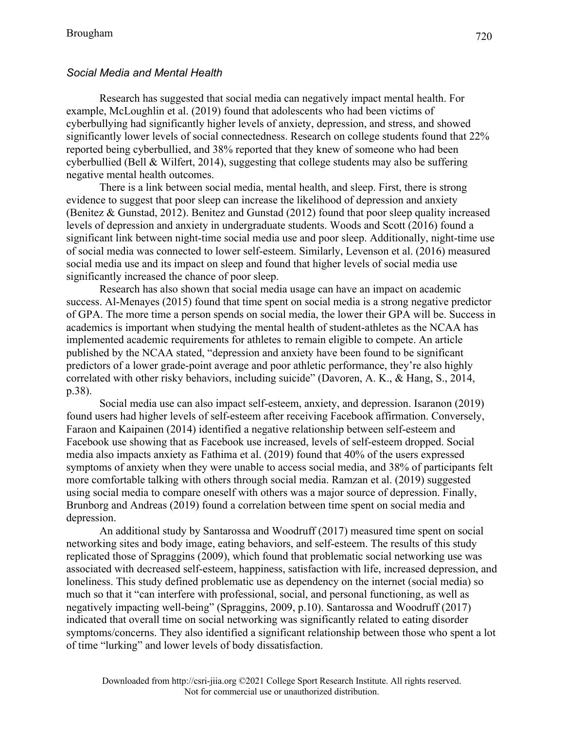# *Social Media and Mental Health*

Research has suggested that social media can negatively impact mental health. For example, McLoughlin et al. (2019) found that adolescents who had been victims of cyberbullying had significantly higher levels of anxiety, depression, and stress, and showed significantly lower levels of social connectedness. Research on college students found that 22% reported being cyberbullied, and 38% reported that they knew of someone who had been cyberbullied (Bell & Wilfert, 2014), suggesting that college students may also be suffering negative mental health outcomes.

There is a link between social media, mental health, and sleep. First, there is strong evidence to suggest that poor sleep can increase the likelihood of depression and anxiety (Benitez & Gunstad, 2012). Benitez and Gunstad (2012) found that poor sleep quality increased levels of depression and anxiety in undergraduate students. Woods and Scott (2016) found a significant link between night-time social media use and poor sleep. Additionally, night-time use of social media was connected to lower self-esteem. Similarly, Levenson et al. (2016) measured social media use and its impact on sleep and found that higher levels of social media use significantly increased the chance of poor sleep.

Research has also shown that social media usage can have an impact on academic success. Al-Menayes (2015) found that time spent on social media is a strong negative predictor of GPA. The more time a person spends on social media, the lower their GPA will be. Success in academics is important when studying the mental health of student-athletes as the NCAA has implemented academic requirements for athletes to remain eligible to compete. An article published by the NCAA stated, "depression and anxiety have been found to be significant predictors of a lower grade-point average and poor athletic performance, they're also highly correlated with other risky behaviors, including suicide" (Davoren, A. K., & Hang, S., 2014, p.38).

Social media use can also impact self-esteem, anxiety, and depression. Isaranon (2019) found users had higher levels of self-esteem after receiving Facebook affirmation. Conversely, Faraon and Kaipainen (2014) identified a negative relationship between self-esteem and Facebook use showing that as Facebook use increased, levels of self-esteem dropped. Social media also impacts anxiety as Fathima et al. (2019) found that 40% of the users expressed symptoms of anxiety when they were unable to access social media, and 38% of participants felt more comfortable talking with others through social media. Ramzan et al. (2019) suggested using social media to compare oneself with others was a major source of depression. Finally, Brunborg and Andreas (2019) found a correlation between time spent on social media and depression.

An additional study by Santarossa and Woodruff (2017) measured time spent on social networking sites and body image, eating behaviors, and self-esteem. The results of this study replicated those of Spraggins (2009), which found that problematic social networking use was associated with decreased self-esteem, happiness, satisfaction with life, increased depression, and loneliness. This study defined problematic use as dependency on the internet (social media) so much so that it "can interfere with professional, social, and personal functioning, as well as negatively impacting well-being" (Spraggins, 2009, p.10). Santarossa and Woodruff (2017) indicated that overall time on social networking was significantly related to eating disorder symptoms/concerns. They also identified a significant relationship between those who spent a lot of time "lurking" and lower levels of body dissatisfaction.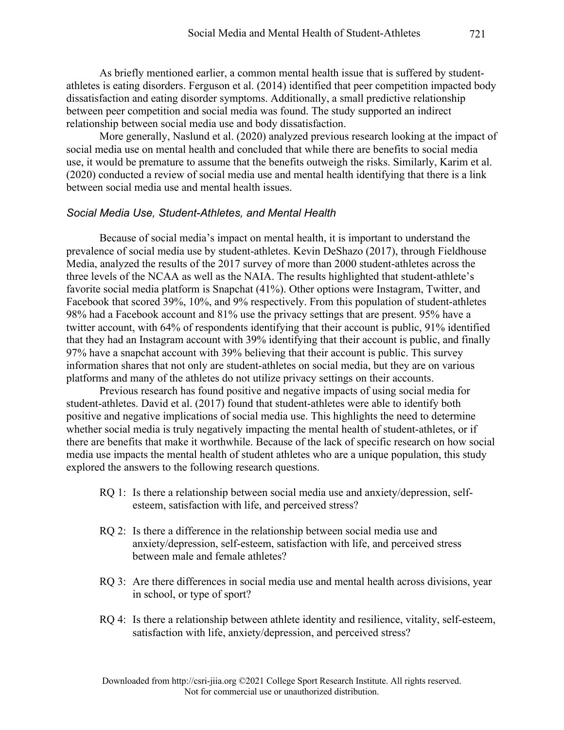As briefly mentioned earlier, a common mental health issue that is suffered by studentathletes is eating disorders. Ferguson et al. (2014) identified that peer competition impacted body dissatisfaction and eating disorder symptoms. Additionally, a small predictive relationship between peer competition and social media was found. The study supported an indirect relationship between social media use and body dissatisfaction.

More generally, Naslund et al. (2020) analyzed previous research looking at the impact of social media use on mental health and concluded that while there are benefits to social media use, it would be premature to assume that the benefits outweigh the risks. Similarly, Karim et al. (2020) conducted a review of social media use and mental health identifying that there is a link between social media use and mental health issues.

#### *Social Media Use, Student-Athletes, and Mental Health*

Because of social media's impact on mental health, it is important to understand the prevalence of social media use by student-athletes. Kevin DeShazo (2017), through Fieldhouse Media, analyzed the results of the 2017 survey of more than 2000 student-athletes across the three levels of the NCAA as well as the NAIA. The results highlighted that student-athlete's favorite social media platform is Snapchat (41%). Other options were Instagram, Twitter, and Facebook that scored 39%, 10%, and 9% respectively. From this population of student-athletes 98% had a Facebook account and 81% use the privacy settings that are present. 95% have a twitter account, with 64% of respondents identifying that their account is public, 91% identified that they had an Instagram account with 39% identifying that their account is public, and finally 97% have a snapchat account with 39% believing that their account is public. This survey information shares that not only are student-athletes on social media, but they are on various platforms and many of the athletes do not utilize privacy settings on their accounts.

Previous research has found positive and negative impacts of using social media for student-athletes. David et al. (2017) found that student-athletes were able to identify both positive and negative implications of social media use. This highlights the need to determine whether social media is truly negatively impacting the mental health of student-athletes, or if there are benefits that make it worthwhile. Because of the lack of specific research on how social media use impacts the mental health of student athletes who are a unique population, this study explored the answers to the following research questions.

- RQ 1: Is there a relationship between social media use and anxiety/depression, selfesteem, satisfaction with life, and perceived stress?
- RQ 2: Is there a difference in the relationship between social media use and anxiety/depression, self-esteem, satisfaction with life, and perceived stress between male and female athletes?
- RQ 3: Are there differences in social media use and mental health across divisions, year in school, or type of sport?
- RQ 4: Is there a relationship between athlete identity and resilience, vitality, self-esteem, satisfaction with life, anxiety/depression, and perceived stress?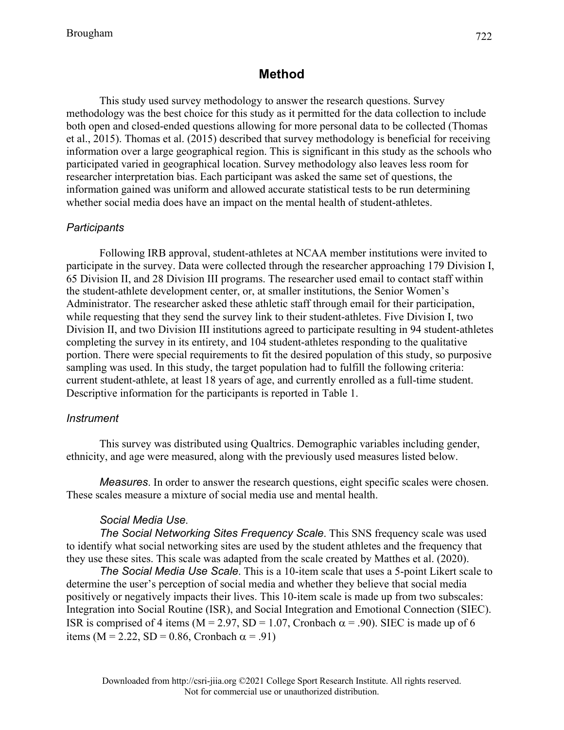# **Method**

This study used survey methodology to answer the research questions. Survey methodology was the best choice for this study as it permitted for the data collection to include both open and closed-ended questions allowing for more personal data to be collected (Thomas et al., 2015). Thomas et al. (2015) described that survey methodology is beneficial for receiving information over a large geographical region. This is significant in this study as the schools who participated varied in geographical location. Survey methodology also leaves less room for researcher interpretation bias. Each participant was asked the same set of questions, the information gained was uniform and allowed accurate statistical tests to be run determining whether social media does have an impact on the mental health of student-athletes.

#### *Participants*

Following IRB approval, student-athletes at NCAA member institutions were invited to participate in the survey. Data were collected through the researcher approaching 179 Division I, 65 Division II, and 28 Division III programs. The researcher used email to contact staff within the student-athlete development center, or, at smaller institutions, the Senior Women's Administrator. The researcher asked these athletic staff through email for their participation, while requesting that they send the survey link to their student-athletes. Five Division I, two Division II, and two Division III institutions agreed to participate resulting in 94 student-athletes completing the survey in its entirety, and 104 student-athletes responding to the qualitative portion. There were special requirements to fit the desired population of this study, so purposive sampling was used. In this study, the target population had to fulfill the following criteria: current student-athlete, at least 18 years of age, and currently enrolled as a full-time student. Descriptive information for the participants is reported in Table 1.

#### *Instrument*

This survey was distributed using Qualtrics. Demographic variables including gender, ethnicity, and age were measured, along with the previously used measures listed below.

*Measures*. In order to answer the research questions, eight specific scales were chosen. These scales measure a mixture of social media use and mental health.

#### *Social Media Use*.

*The Social Networking Sites Frequency Scale*. This SNS frequency scale was used to identify what social networking sites are used by the student athletes and the frequency that they use these sites. This scale was adapted from the scale created by Matthes et al. (2020).

*The Social Media Use Scale*. This is a 10-item scale that uses a 5-point Likert scale to determine the user's perception of social media and whether they believe that social media positively or negatively impacts their lives. This 10-item scale is made up from two subscales: Integration into Social Routine (ISR), and Social Integration and Emotional Connection (SIEC). ISR is comprised of 4 items ( $M = 2.97$ , SD = 1.07, Cronbach  $\alpha = .90$ ). SIEC is made up of 6 items (M = 2.22, SD = 0.86, Cronbach  $\alpha$  = .91)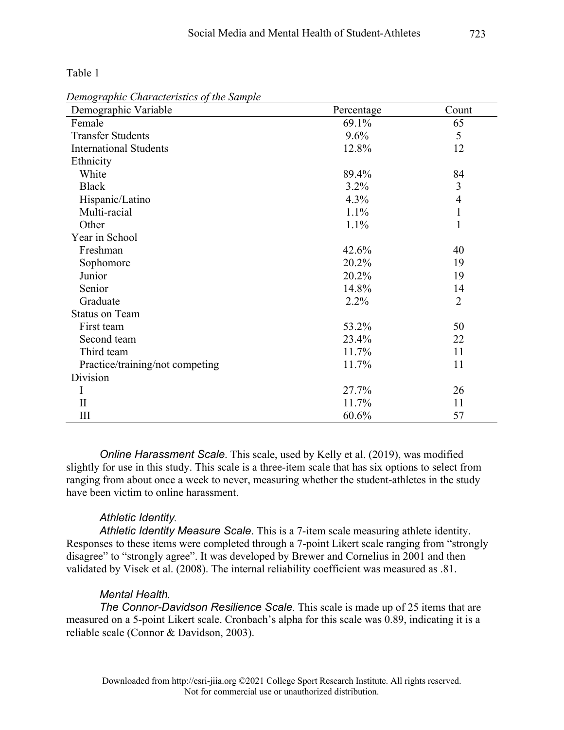Table 1

| Demographic Variable            | Percentage | Count          |
|---------------------------------|------------|----------------|
| Female                          | 69.1%      | 65             |
| <b>Transfer Students</b>        | 9.6%       | 5              |
| <b>International Students</b>   | 12.8%      | 12             |
| Ethnicity                       |            |                |
| White                           | 89.4%      | 84             |
| <b>Black</b>                    | 3.2%       | 3              |
| Hispanic/Latino                 | 4.3%       | 4              |
| Multi-racial                    | 1.1%       | 1              |
| Other                           | 1.1%       | 1              |
| Year in School                  |            |                |
| Freshman                        | 42.6%      | 40             |
| Sophomore                       | 20.2%      | 19             |
| Junior                          | 20.2%      | 19             |
| Senior                          | 14.8%      | 14             |
| Graduate                        | 2.2%       | $\overline{2}$ |
| <b>Status on Team</b>           |            |                |
| First team                      | 53.2%      | 50             |
| Second team                     | 23.4%      | 22             |
| Third team                      | 11.7%      | 11             |
| Practice/training/not competing | 11.7%      | 11             |
| Division                        |            |                |
| I                               | 27.7%      | 26             |
| $\mathbf{I}$                    | 11.7%      | 11             |
| III                             | 60.6%      | 57             |

*Demographic Characteristics of the Sample*

*Online Harassment Scale*. This scale, used by Kelly et al. (2019), was modified slightly for use in this study. This scale is a three-item scale that has six options to select from ranging from about once a week to never, measuring whether the student-athletes in the study have been victim to online harassment.

### *Athletic Identity.*

*Athletic Identity Measure Scale*. This is a 7-item scale measuring athlete identity. Responses to these items were completed through a 7-point Likert scale ranging from "strongly disagree" to "strongly agree". It was developed by Brewer and Cornelius in 2001 and then validated by Visek et al. (2008). The internal reliability coefficient was measured as .81.

### *Mental Health.*

*The Connor-Davidson Resilience Scale*. This scale is made up of 25 items that are measured on a 5-point Likert scale. Cronbach's alpha for this scale was 0.89, indicating it is a reliable scale (Connor & Davidson, 2003).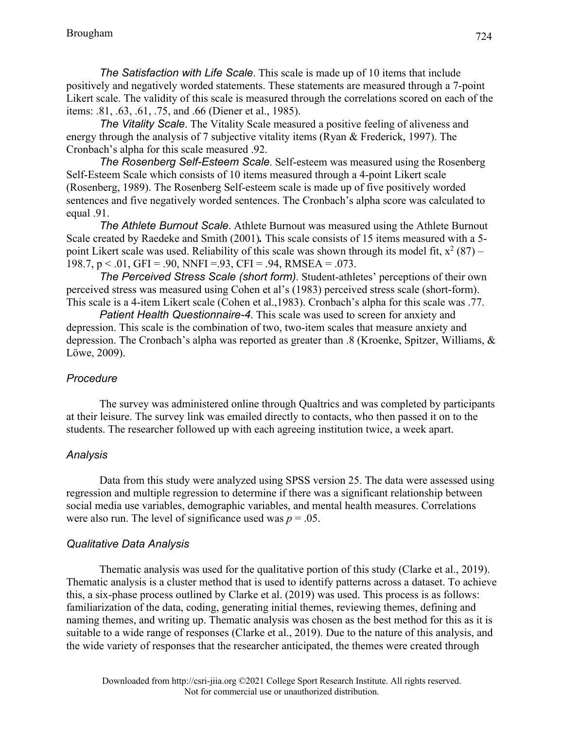*The Satisfaction with Life Scale*. This scale is made up of 10 items that include positively and negatively worded statements. These statements are measured through a 7-point Likert scale. The validity of this scale is measured through the correlations scored on each of the items: .81, .63, .61, .75, and .66 (Diener et al., 1985).

*The Vitality Scale*. The Vitality Scale measured a positive feeling of aliveness and energy through the analysis of 7 subjective vitality items (Ryan & Frederick, 1997). The Cronbach's alpha for this scale measured .92.

*The Rosenberg Self-Esteem Scale*. Self-esteem was measured using the Rosenberg Self-Esteem Scale which consists of 10 items measured through a 4-point Likert scale (Rosenberg, 1989). The Rosenberg Self-esteem scale is made up of five positively worded sentences and five negatively worded sentences. The Cronbach's alpha score was calculated to equal .91.

*The Athlete Burnout Scale*. Athlete Burnout was measured using the Athlete Burnout Scale created by Raedeke and Smith (2001)*.* This scale consists of 15 items measured with a 5 point Likert scale was used. Reliability of this scale was shown through its model fit,  $x^2 (87)$  – 198.7,  $p < 0.01$ , GFI = .90, NNFI = .93, CFI = .94, RMSEA = .073.

*The Perceived Stress Scale (short form)*. Student-athletes' perceptions of their own perceived stress was measured using Cohen et al's (1983) perceived stress scale (short-form). This scale is a 4-item Likert scale (Cohen et al.,1983). Cronbach's alpha for this scale was .77.

*Patient Health Questionnaire-4*. This scale was used to screen for anxiety and depression. This scale is the combination of two, two-item scales that measure anxiety and depression. The Cronbach's alpha was reported as greater than .8 (Kroenke, Spitzer, Williams, & Löwe, 2009).

#### *Procedure*

The survey was administered online through Qualtrics and was completed by participants at their leisure. The survey link was emailed directly to contacts, who then passed it on to the students. The researcher followed up with each agreeing institution twice, a week apart.

### *Analysis*

Data from this study were analyzed using SPSS version 25. The data were assessed using regression and multiple regression to determine if there was a significant relationship between social media use variables, demographic variables, and mental health measures. Correlations were also run. The level of significance used was  $p = .05$ .

#### *Qualitative Data Analysis*

Thematic analysis was used for the qualitative portion of this study (Clarke et al., 2019). Thematic analysis is a cluster method that is used to identify patterns across a dataset. To achieve this, a six-phase process outlined by Clarke et al. (2019) was used. This process is as follows: familiarization of the data, coding, generating initial themes, reviewing themes, defining and naming themes, and writing up. Thematic analysis was chosen as the best method for this as it is suitable to a wide range of responses (Clarke et al., 2019). Due to the nature of this analysis, and the wide variety of responses that the researcher anticipated, the themes were created through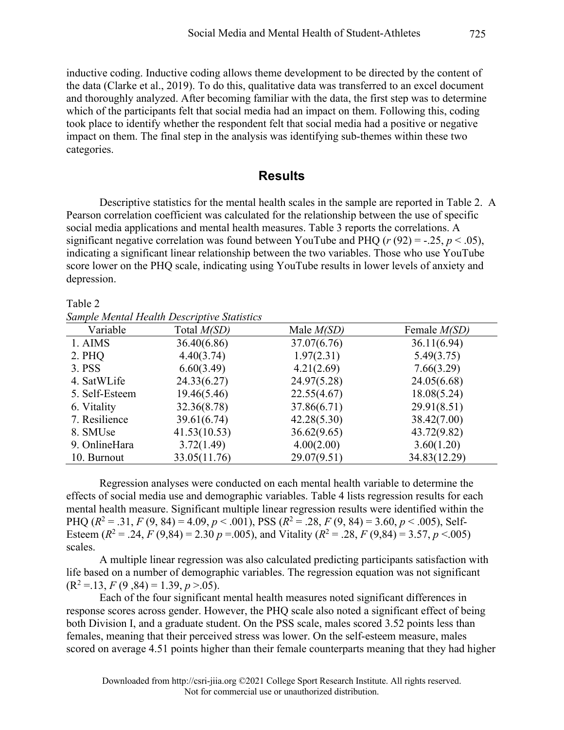inductive coding. Inductive coding allows theme development to be directed by the content of the data (Clarke et al., 2019). To do this, qualitative data was transferred to an excel document and thoroughly analyzed. After becoming familiar with the data, the first step was to determine which of the participants felt that social media had an impact on them. Following this, coding took place to identify whether the respondent felt that social media had a positive or negative impact on them. The final step in the analysis was identifying sub-themes within these two categories.

# **Results**

Descriptive statistics for the mental health scales in the sample are reported in Table 2. A Pearson correlation coefficient was calculated for the relationship between the use of specific social media applications and mental health measures. Table 3 reports the correlations. A significant negative correlation was found between YouTube and PHQ  $(r (92) = -.25, p < .05)$ , indicating a significant linear relationship between the two variables. Those who use YouTube score lower on the PHQ scale, indicating using YouTube results in lower levels of anxiety and depression.

Table 2 *Sample Mental Health Descriptive Statistics*

| Variable       | Total <i>M(SD)</i> | Male $M(SD)$ | Female <i>M(SD)</i> |
|----------------|--------------------|--------------|---------------------|
| 1. AIMS        | 36.40(6.86)        | 37.07(6.76)  | 36.11(6.94)         |
| 2. PHQ         | 4.40(3.74)         | 1.97(2.31)   | 5.49(3.75)          |
| 3. PSS         | 6.60(3.49)         | 4.21(2.69)   | 7.66(3.29)          |
| 4. SatWLife    | 24.33(6.27)        | 24.97(5.28)  | 24.05(6.68)         |
| 5. Self-Esteem | 19.46(5.46)        | 22.55(4.67)  | 18.08(5.24)         |
| 6. Vitality    | 32.36(8.78)        | 37.86(6.71)  | 29.91(8.51)         |
| 7. Resilience  | 39.61(6.74)        | 42.28(5.30)  | 38.42(7.00)         |
| 8. SMUse       | 41.53(10.53)       | 36.62(9.65)  | 43.72(9.82)         |
| 9. OnlineHara  | 3.72(1.49)         | 4.00(2.00)   | 3.60(1.20)          |
| 10. Burnout    | 33.05(11.76)       | 29.07(9.51)  | 34.83(12.29)        |

Regression analyses were conducted on each mental health variable to determine the effects of social media use and demographic variables. Table 4 lists regression results for each mental health measure. Significant multiple linear regression results were identified within the PHQ  $(R^2 = .31, F(9, 84) = 4.09, p < .001)$ , PSS  $(R^2 = .28, F(9, 84) = 3.60, p < .005)$ , Self-Esteem ( $R^2 = .24$ ,  $F(9,84) = 2.30$   $p = .005$ ), and Vitality ( $R^2 = .28$ ,  $F(9,84) = 3.57$ ,  $p < .005$ ) scales.

A multiple linear regression was also calculated predicting participants satisfaction with life based on a number of demographic variables. The regression equation was not significant  $(R^2 = .13, F(9, 84) = 1.39, p > .05).$ 

Each of the four significant mental health measures noted significant differences in response scores across gender. However, the PHQ scale also noted a significant effect of being both Division I, and a graduate student. On the PSS scale, males scored 3.52 points less than females, meaning that their perceived stress was lower. On the self-esteem measure, males scored on average 4.51 points higher than their female counterparts meaning that they had higher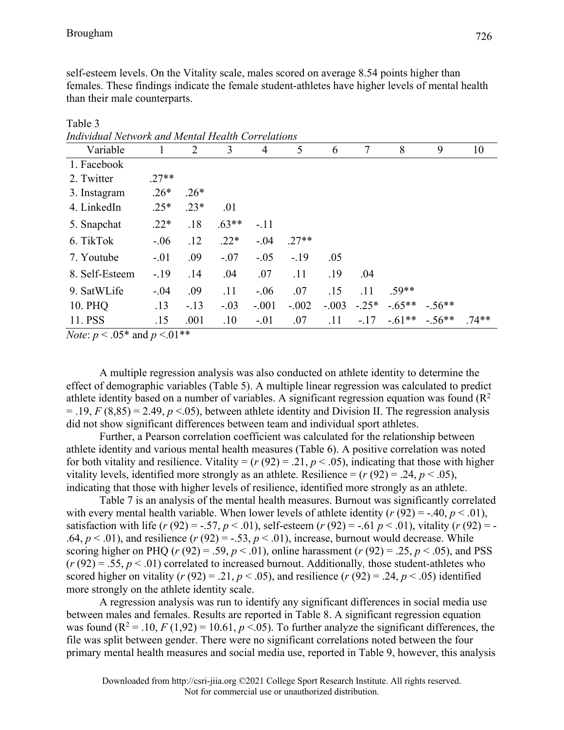self-esteem levels. On the Vitality scale, males scored on average 8.54 points higher than females. These findings indicate the female student-athletes have higher levels of mental health than their male counterparts.

| Inalviauai Nelwork ana Menial Healin Correlations |         |        |         |                |         |         |         |          |          |         |
|---------------------------------------------------|---------|--------|---------|----------------|---------|---------|---------|----------|----------|---------|
| Variable                                          |         | 2      | 3       | $\overline{4}$ | 5       | 6       | 7       | 8        | 9        | 10      |
| 1. Facebook                                       |         |        |         |                |         |         |         |          |          |         |
| 2. Twitter                                        | $.27**$ |        |         |                |         |         |         |          |          |         |
| 3. Instagram                                      | $.26*$  | $.26*$ |         |                |         |         |         |          |          |         |
| 4. LinkedIn                                       | $.25*$  | $.23*$ | .01     |                |         |         |         |          |          |         |
| 5. Snapchat                                       | $.22*$  | .18    | $.63**$ | $-.11$         |         |         |         |          |          |         |
| 6. TikTok                                         | $-.06$  | .12    | $.22*$  | $-.04$         | $.27**$ |         |         |          |          |         |
| 7. Youtube                                        | $-.01$  | .09    | $-.07$  | $-.05$         | $-.19$  | .05     |         |          |          |         |
| 8. Self-Esteem                                    | $-.19$  | .14    | .04     | .07            | .11     | .19     | .04     |          |          |         |
| 9. SatWLife                                       | $-.04$  | .09    | .11     | $-.06$         | .07     | .15     | .11     | $.59**$  |          |         |
| 10. PHQ                                           | .13     | $-.13$ | $-.03$  | $-.001$        | $-.002$ | $-.003$ | $-.25*$ | $-.65**$ | $-.56**$ |         |
| 11. PSS                                           | .15     | .001   | .10     | $-.01$         | .07     | .11     | $-.17$  | $-.61**$ | $-.56**$ | $.74**$ |

Table 3 *Individual Network and Mental Health Correlations*

*Note*: *p* < .05\* and *p* <.01\*\*

A multiple regression analysis was also conducted on athlete identity to determine the effect of demographic variables (Table 5). A multiple linear regression was calculated to predict athlete identity based on a number of variables. A significant regression equation was found  $(R^2)$  $=$  .19, *F* (8,85) = 2.49, *p* <.05), between athlete identity and Division II. The regression analysis did not show significant differences between team and individual sport athletes.

Further, a Pearson correlation coefficient was calculated for the relationship between athlete identity and various mental health measures (Table 6). A positive correlation was noted for both vitality and resilience. Vitality =  $(r (92) = .21, p < .05)$ , indicating that those with higher vitality levels, identified more strongly as an athlete. Resilience  $= (r (92) = .24, p < .05)$ , indicating that those with higher levels of resilience, identified more strongly as an athlete.

Table 7 is an analysis of the mental health measures. Burnout was significantly correlated with every mental health variable. When lower levels of athlete identity  $(r (92) = -.40, p < .01)$ , satisfaction with life  $(r (92) = -.57, p < .01)$ , self-esteem  $(r (92) = -.61 p < .01)$ , vitality  $(r (92) = -11)$ .64,  $p < .01$ ), and resilience  $(r (92) = -.53, p < .01)$ , increase, burnout would decrease. While scoring higher on PHQ ( $r$  (92) = .59,  $p$  < .01), online harassment ( $r$  (92) = .25,  $p$  < .05), and PSS (*r* (92) = .55, *p* < .01) correlated to increased burnout. Additionally*,* those student-athletes who scored higher on vitality ( $r$  (92) = .21,  $p$  < .05), and resilience ( $r$  (92) = .24,  $p$  < .05) identified more strongly on the athlete identity scale.

A regression analysis was run to identify any significant differences in social media use between males and females. Results are reported in Table 8. A significant regression equation was found  $(R^2 = .10, F(1, 92) = 10.61, p < .05)$ . To further analyze the significant differences, the file was split between gender. There were no significant correlations noted between the four primary mental health measures and social media use, reported in Table 9, however, this analysis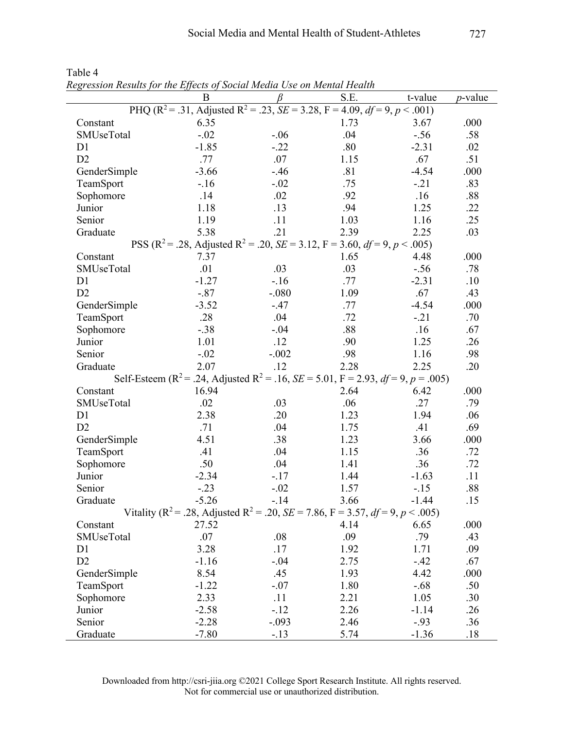|                | B       | β       | S.E.                                                                                                                       | t-value | <i>p</i> -value |
|----------------|---------|---------|----------------------------------------------------------------------------------------------------------------------------|---------|-----------------|
|                |         |         | PHQ (R <sup>2</sup> = .31, Adjusted R <sup>2</sup> = .23, <i>SE</i> = 3.28, F = 4.09, <i>df</i> = 9, <i>p</i> < .001)      |         |                 |
| Constant       | 6.35    |         | 1.73                                                                                                                       | 3.67    | .000            |
| SMUseTotal     | $-.02$  | $-.06$  | .04                                                                                                                        | $-.56$  | .58             |
| D <sub>1</sub> | $-1.85$ | $-.22$  | .80                                                                                                                        | $-2.31$ | .02             |
| D2             | .77     | .07     | 1.15                                                                                                                       | .67     | .51             |
| GenderSimple   | $-3.66$ | $-.46$  | .81                                                                                                                        | $-4.54$ | .000            |
| TeamSport      | $-16$   | $-.02$  | .75                                                                                                                        | $-.21$  | .83             |
| Sophomore      | .14     | .02     | .92                                                                                                                        | .16     | .88             |
| Junior         | 1.18    | .13     | .94                                                                                                                        | 1.25    | .22             |
| Senior         | 1.19    | .11     | 1.03                                                                                                                       | 1.16    | .25             |
| Graduate       | 5.38    | .21     | 2.39                                                                                                                       | 2.25    | .03             |
|                |         |         | PSS (R <sup>2</sup> = .28, Adjusted R <sup>2</sup> = .20, <i>SE</i> = 3.12, F = 3.60, <i>df</i> = 9, <i>p</i> < .005)      |         |                 |
| Constant       | 7.37    |         | 1.65                                                                                                                       | 4.48    | .000            |
| SMUseTotal     | .01     | .03     | .03                                                                                                                        | $-.56$  | .78             |
| D1             | $-1.27$ | $-.16$  | .77                                                                                                                        | $-2.31$ | .10             |
| D2             | $-.87$  | $-080$  | 1.09                                                                                                                       | .67     | .43             |
| GenderSimple   | $-3.52$ | $-.47$  | .77                                                                                                                        | $-4.54$ | .000            |
| TeamSport      | .28     | .04     | .72                                                                                                                        | $-.21$  | .70             |
| Sophomore      | $-.38$  | $-.04$  | .88                                                                                                                        | .16     | .67             |
| Junior         | 1.01    | .12     | .90                                                                                                                        | 1.25    | .26             |
| Senior         | $-.02$  | $-.002$ | .98                                                                                                                        | 1.16    | .98             |
| Graduate       | 2.07    | .12     | 2.28                                                                                                                       | 2.25    | .20             |
|                |         |         | Self-Esteem (R <sup>2</sup> = .24, Adjusted R <sup>2</sup> = .16, <i>SE</i> = 5.01, F = 2.93, <i>df</i> = 9, p = .005)     |         |                 |
| Constant       | 16.94   |         | 2.64                                                                                                                       | 6.42    | .000            |
| SMUseTotal     | .02     | .03     | .06                                                                                                                        | .27     | .79             |
| D1             | 2.38    | .20     | 1.23                                                                                                                       | 1.94    | .06             |
| D2             | .71     | .04     | 1.75                                                                                                                       | .41     | .69             |
| GenderSimple   | 4.51    | .38     | 1.23                                                                                                                       | 3.66    | .000            |
| TeamSport      | .41     | .04     | 1.15                                                                                                                       | .36     | .72             |
| Sophomore      | .50     | .04     | 1.41                                                                                                                       | .36     | .72             |
| Junior         | $-2.34$ | $-.17$  | 1.44                                                                                                                       | $-1.63$ | .11             |
| Senior         | $-.23$  | $-.02$  | 1.57                                                                                                                       | $-.15$  | .88             |
| Graduate       | $-5.26$ | $-.14$  | 3.66                                                                                                                       | $-1.44$ | .15             |
|                |         |         | Vitality (R <sup>2</sup> = .28, Adjusted R <sup>2</sup> = .20, <i>SE</i> = 7.86, F = 3.57, <i>df</i> = 9, <i>p</i> < .005) |         |                 |
| Constant       | 27.52   |         | 4.14                                                                                                                       | 6.65    | .000            |
| SMUseTotal     | .07     | .08     | .09                                                                                                                        | .79     | .43             |
| D <sub>1</sub> | 3.28    | .17     | 1.92                                                                                                                       | 1.71    | .09             |
| D <sub>2</sub> | $-1.16$ | $-.04$  | 2.75                                                                                                                       | $-.42$  | .67             |
| GenderSimple   | 8.54    | .45     | 1.93                                                                                                                       | 4.42    | .000            |
| TeamSport      | $-1.22$ | $-.07$  | 1.80                                                                                                                       | $-.68$  | .50             |
| Sophomore      | 2.33    | .11     | 2.21                                                                                                                       | 1.05    | .30             |
| Junior         | $-2.58$ | $-.12$  | 2.26                                                                                                                       | $-1.14$ | .26             |
| Senior         | $-2.28$ | $-.093$ | 2.46                                                                                                                       | $-93$   | .36             |
| Graduate       | $-7.80$ | $-.13$  | 5.74                                                                                                                       | $-1.36$ | .18             |

Table 4 *Regression Results for the Effects of Social Media Use on Mental Health*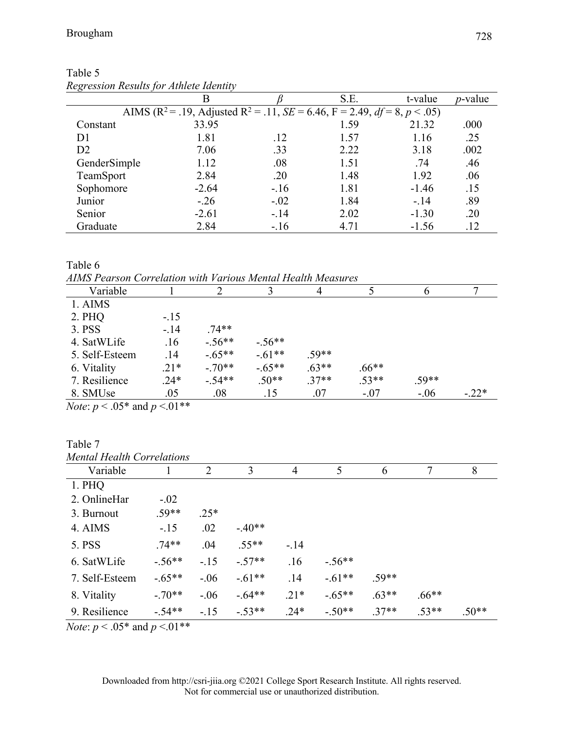| <u>Respersively results</u> for themselve receively |                                                                                                                       |        |      |         |                 |
|-----------------------------------------------------|-----------------------------------------------------------------------------------------------------------------------|--------|------|---------|-----------------|
|                                                     |                                                                                                                       |        | S.E. | t-value | <i>p</i> -value |
|                                                     | AIMS (R <sup>2</sup> = .19, Adjusted R <sup>2</sup> = .11, <i>SE</i> = 6.46, F = 2.49, <i>df</i> = 8, <i>p</i> < .05) |        |      |         |                 |
| Constant                                            | 33.95                                                                                                                 |        | 1.59 | 21.32   | .000            |
| D1                                                  | 1.81                                                                                                                  | .12    | 1.57 | 1.16    | .25             |
| D2                                                  | 7.06                                                                                                                  | .33    | 2.22 | 3.18    | .002            |
| GenderSimple                                        | 1.12                                                                                                                  | .08    | 1.51 | .74     | .46             |
| TeamSport                                           | 2.84                                                                                                                  | .20    | 1.48 | 1.92    | .06             |
| Sophomore                                           | $-2.64$                                                                                                               | $-.16$ | 1.81 | $-1.46$ | .15             |
| Junior                                              | $-.26$                                                                                                                | $-.02$ | 1.84 | $-.14$  | .89             |
| Senior                                              | $-2.61$                                                                                                               | $-.14$ | 2.02 | $-1.30$ | .20             |
| Graduate                                            | 2.84                                                                                                                  | $-.16$ | 4.71 | $-1.56$ | .12             |

| Table 5                                 |  |
|-----------------------------------------|--|
| Regression Results for Athlete Identity |  |

Table 6

*AIMS Pearson Correlation with Various Mental Health Measures*

| лито т сагзон согтемнон тип кановз тении псани теази сз        |        |          |          |         |         |         |         |
|----------------------------------------------------------------|--------|----------|----------|---------|---------|---------|---------|
| Variable                                                       |        |          |          |         |         | n       |         |
| 1. AIMS                                                        |        |          |          |         |         |         |         |
| 2. PHQ                                                         | $-.15$ |          |          |         |         |         |         |
| 3. PSS                                                         | $-.14$ | $.74**$  |          |         |         |         |         |
| 4. SatWLife                                                    | .16    | $-.56**$ | $-.56**$ |         |         |         |         |
| 5. Self-Esteem                                                 | .14    | $-.65**$ | $-.61**$ | $.59**$ |         |         |         |
| 6. Vitality                                                    | $.21*$ | $-.70**$ | $-.65**$ | $.63**$ | $.66**$ |         |         |
| 7. Resilience                                                  | $.24*$ | $-.54**$ | $.50**$  | $.37**$ | $.53**$ | $.59**$ |         |
| 8. SMUse                                                       | .05    | .08      | .15      | .07     | $-.07$  | $-.06$  | $-.22*$ |
| $M_{\odot}$ ( $\sim$ 0.5 $\pm$ $\sim$ 1 $\sim$ 0.1 $\pm$ $\pm$ |        |          |          |         |         |         |         |

*Note*: *p* < .05\* and *p* <.01\*\*

| Table 7                           |          |        |          |        |          |         |         |         |
|-----------------------------------|----------|--------|----------|--------|----------|---------|---------|---------|
| <b>Mental Health Correlations</b> |          |        |          |        |          |         |         |         |
| Variable                          |          | 2      | 3        | 4      | 5        | 6       | 7       | 8       |
| 1. PHQ                            |          |        |          |        |          |         |         |         |
| 2. OnlineHar                      | $-.02$   |        |          |        |          |         |         |         |
| 3. Burnout                        | $.59**$  | $.25*$ |          |        |          |         |         |         |
| 4. AIMS                           | $-.15$   | .02    | $-.40**$ |        |          |         |         |         |
| 5. PSS                            | $.74**$  | .04    | $.55**$  | $-.14$ |          |         |         |         |
| 6. SatWLife                       | $-.56**$ | $-.15$ | $-.57**$ | .16    | $-.56**$ |         |         |         |
| 7. Self-Esteem                    | $-.65**$ | $-.06$ | $-.61**$ | .14    | $-.61**$ | $.59**$ |         |         |
| 8. Vitality                       | $-.70**$ | $-.06$ | $-.64**$ | $.21*$ | $-.65**$ | $.63**$ | $.66**$ |         |
| 9. Resilience                     | $-.54**$ | $-.15$ | $-.53**$ | $.24*$ | $-.50**$ | $.37**$ | $.53**$ | $.50**$ |

*Note*: *p* < .05\* and *p* <.01\*\*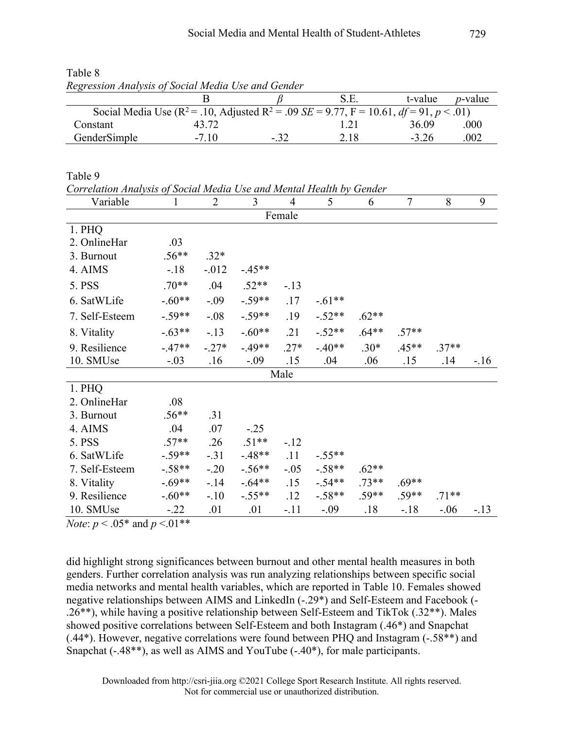| Regression Analysis of Social Media Use and Gender |                                                                                                                   |        |      |         |                 |
|----------------------------------------------------|-------------------------------------------------------------------------------------------------------------------|--------|------|---------|-----------------|
|                                                    |                                                                                                                   |        | S.E. | t-value | <i>p</i> -value |
|                                                    | Social Media Use ( $R^2$ = .10, Adjusted $R^2$ = .09 <i>SE</i> = 9.77, F = 10.61, <i>df</i> = 91, <i>p</i> < .01) |        |      |         |                 |
| Constant                                           | 43.72                                                                                                             |        |      | 36.09   | .000            |
| GenderSimple                                       | $-7.10$                                                                                                           | $-.32$ | 2.18 | $-3.26$ | .002            |

Table 8 *Regression Analysis of Social Media Use and Gender*

Table 9

*Correlation Analysis of Social Media Use and Mental Health by Gender*

| Variable       | 1        | $\overline{2}$ | 3         | $\overline{4}$ | 5        | 6       | $\overline{7}$ | 8       | 9      |
|----------------|----------|----------------|-----------|----------------|----------|---------|----------------|---------|--------|
|                |          |                |           | Female         |          |         |                |         |        |
| 1. PHQ         |          |                |           |                |          |         |                |         |        |
| 2. OnlineHar   | .03      |                |           |                |          |         |                |         |        |
| 3. Burnout     | $.56**$  | $.32*$         |           |                |          |         |                |         |        |
| 4. AIMS        | $-.18$   | $-0.012$       | $-.45**$  |                |          |         |                |         |        |
| 5. PSS         | $.70**$  | .04            | $.52**$   | $-.13$         |          |         |                |         |        |
| 6. SatWLife    | $-.60**$ | $-.09$         | $-.59**$  | .17            | $-.61**$ |         |                |         |        |
| 7. Self-Esteem | $-.59**$ | $-.08$         | $-.59**$  | .19            | $-.52**$ | $.62**$ |                |         |        |
| 8. Vitality    | $-.63**$ | $-.13$         | $-.60**$  | .21            | $-.52**$ | $.64**$ | $.57**$        |         |        |
| 9. Resilience  | $-.47**$ | $-.27*$        | $-0.49**$ | $.27*$         | $-.40**$ | $.30*$  | $.45**$        | $.37**$ |        |
| 10. SMUse      | $-.03$   | .16            | $-.09$    | .15            | .04      | .06     | .15            | .14     | $-.16$ |
|                |          |                |           | Male           |          |         |                |         |        |
| 1. PHQ         |          |                |           |                |          |         |                |         |        |
| 2. OnlineHar   | .08      |                |           |                |          |         |                |         |        |
| 3. Burnout     | $.56**$  | .31            |           |                |          |         |                |         |        |
| 4. AIMS        | .04      | .07            | $-.25$    |                |          |         |                |         |        |
| 5. PSS         | $.57**$  | .26            | $.51**$   | $-.12$         |          |         |                |         |        |
| 6. SatWLife    | $-.59**$ | $-.31$         | $-.48**$  | .11            | $-.55**$ |         |                |         |        |
| 7. Self-Esteem | $-.58**$ | $-.20$         | $-.56**$  | $-.05$         | $-.58**$ | $.62**$ |                |         |        |
| 8. Vitality    | $-.69**$ | $-14$          | $-.64**$  | .15            | $-.54**$ | $.73**$ | $.69**$        |         |        |
| 9. Resilience  | $-.60**$ | $-.10$         | $-.55**$  | .12            | $-.58**$ | $.59**$ | $.59**$        | $.71**$ |        |
| 10. SMUse      | $-.22$   | .01            | .01       | $-.11$         | $-.09$   | .18     | $-.18$         | $-.06$  | $-.13$ |

*Note*: *p* < .05\* and *p* <.01\*\*

did highlight strong significances between burnout and other mental health measures in both genders. Further correlation analysis was run analyzing relationships between specific social media networks and mental health variables, which are reported in Table 10. Females showed negative relationships between AIMS and LinkedIn (-.29\*) and Self-Esteem and Facebook (- .26\*\*), while having a positive relationship between Self-Esteem and TikTok (.32\*\*). Males showed positive correlations between Self-Esteem and both Instagram (.46\*) and Snapchat (.44\*). However, negative correlations were found between PHQ and Instagram (-.58\*\*) and Snapchat (-.48\*\*), as well as AIMS and YouTube (-.40\*), for male participants.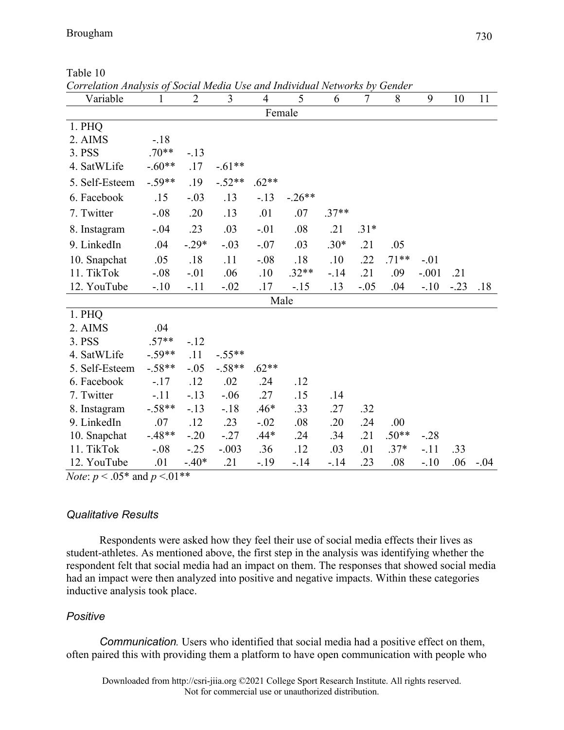| Correlation Analysis of Social Meaia Use and Individual Networks by Gender |          |                |                |                |          |         |        |         |         |        |        |
|----------------------------------------------------------------------------|----------|----------------|----------------|----------------|----------|---------|--------|---------|---------|--------|--------|
| Variable                                                                   | 1        | $\overline{2}$ | $\overline{3}$ | $\overline{4}$ | 5        | 6       | $\tau$ | 8       | 9       | 10     | 11     |
|                                                                            |          |                |                |                | Female   |         |        |         |         |        |        |
| 1. PHQ                                                                     |          |                |                |                |          |         |        |         |         |        |        |
| 2. AIMS                                                                    | $-.18$   |                |                |                |          |         |        |         |         |        |        |
| 3. PSS                                                                     | $.70**$  | $-.13$         |                |                |          |         |        |         |         |        |        |
| 4. SatWLife                                                                | $-.60**$ | .17            | $-.61**$       |                |          |         |        |         |         |        |        |
| 5. Self-Esteem                                                             | $-.59**$ | .19            | $-.52**$       | $.62**$        |          |         |        |         |         |        |        |
| 6. Facebook                                                                | .15      | $-.03$         | .13            | $-.13$         | $-.26**$ |         |        |         |         |        |        |
| 7. Twitter                                                                 | $-.08$   | .20            | .13            | .01            | .07      | $.37**$ |        |         |         |        |        |
| 8. Instagram                                                               | $-.04$   | .23            | .03            | $-.01$         | .08      | .21     | $.31*$ |         |         |        |        |
| 9. LinkedIn                                                                | .04      | $-.29*$        | $-.03$         | $-.07$         | .03      | $.30*$  | .21    | .05     |         |        |        |
| 10. Snapchat                                                               | .05      | .18            | .11            | $-.08$         | .18      | .10     | .22    | $.71**$ | $-.01$  |        |        |
| 11. TikTok                                                                 | $-.08$   | $-.01$         | .06            | .10            | $.32**$  | $-.14$  | .21    | .09     | $-.001$ | .21    |        |
| 12. YouTube                                                                | $-.10$   | $-.11$         | $-.02$         | .17            | $-.15$   | .13     | $-.05$ | .04     | $-.10$  | $-.23$ | .18    |
|                                                                            |          |                |                |                | Male     |         |        |         |         |        |        |
| 1. PHQ                                                                     |          |                |                |                |          |         |        |         |         |        |        |
| 2. AIMS                                                                    | .04      |                |                |                |          |         |        |         |         |        |        |
| 3. PSS                                                                     | $.57**$  | $-.12$         |                |                |          |         |        |         |         |        |        |
| 4. SatWLife                                                                | $-.59**$ | .11            | $-.55**$       |                |          |         |        |         |         |        |        |
| 5. Self-Esteem                                                             | $-.58**$ | $-.05$         | $-.58**$       | $.62**$        |          |         |        |         |         |        |        |
| 6. Facebook                                                                | $-.17$   | .12            | .02            | .24            | .12      |         |        |         |         |        |        |
| 7. Twitter                                                                 | $-.11$   | $-.13$         | $-.06$         | .27            | .15      | .14     |        |         |         |        |        |
| 8. Instagram                                                               | $-.58**$ | $-.13$         | $-.18$         | $.46*$         | .33      | .27     | .32    |         |         |        |        |
| 9. LinkedIn                                                                | .07      | .12            | .23            | $-.02$         | .08      | .20     | .24    | .00     |         |        |        |
| 10. Snapchat                                                               | $-.48**$ | $-.20$         | $-.27$         | $.44*$         | .24      | .34     | .21    | $.50**$ | $-.28$  |        |        |
| 11. TikTok                                                                 | $-.08$   | $-.25$         | $-.003$        | .36            | .12      | .03     | .01    | $.37*$  | $-.11$  | .33    |        |
| 12. YouTube                                                                | .01      | $-.40*$        | .21            | $-.19$         | $-.14$   | $-.14$  | .23    | .08     | $-.10$  | .06    | $-.04$ |

| Table 10                                                                   |  |  |
|----------------------------------------------------------------------------|--|--|
| Correlation Analysis of Social Media Use and Individual Networks by Gender |  |  |

*Note:*  $p < .05^*$  and  $p < .01^{**}$ 

# *Qualitative Results*

Respondents were asked how they feel their use of social media effects their lives as student-athletes. As mentioned above, the first step in the analysis was identifying whether the respondent felt that social media had an impact on them. The responses that showed social media had an impact were then analyzed into positive and negative impacts. Within these categories inductive analysis took place.

# *Positive*

*Communication.* Users who identified that social media had a positive effect on them, often paired this with providing them a platform to have open communication with people who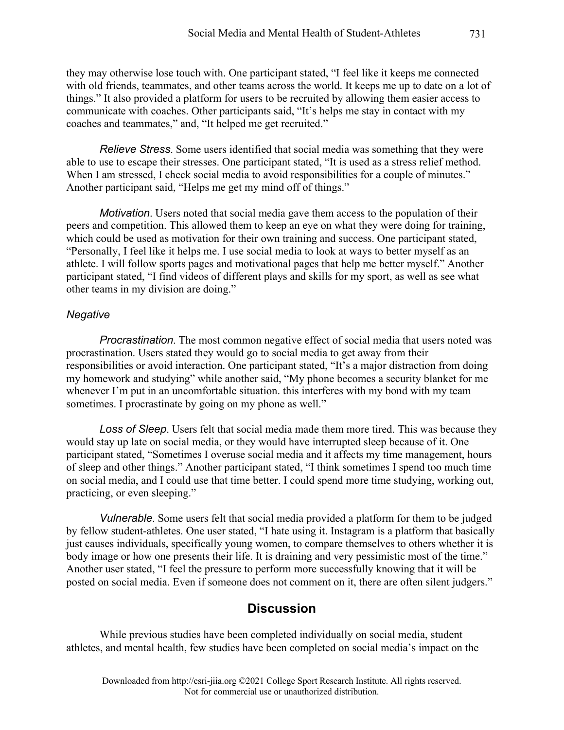they may otherwise lose touch with. One participant stated, "I feel like it keeps me connected with old friends, teammates, and other teams across the world. It keeps me up to date on a lot of things." It also provided a platform for users to be recruited by allowing them easier access to communicate with coaches. Other participants said, "It's helps me stay in contact with my coaches and teammates," and, "It helped me get recruited."

*Relieve Stress*. Some users identified that social media was something that they were able to use to escape their stresses. One participant stated, "It is used as a stress relief method. When I am stressed, I check social media to avoid responsibilities for a couple of minutes." Another participant said, "Helps me get my mind off of things."

*Motivation*. Users noted that social media gave them access to the population of their peers and competition. This allowed them to keep an eye on what they were doing for training, which could be used as motivation for their own training and success. One participant stated, "Personally, I feel like it helps me. I use social media to look at ways to better myself as an athlete. I will follow sports pages and motivational pages that help me better myself." Another participant stated, "I find videos of different plays and skills for my sport, as well as see what other teams in my division are doing."

#### *Negative*

*Procrastination*. The most common negative effect of social media that users noted was procrastination. Users stated they would go to social media to get away from their responsibilities or avoid interaction. One participant stated, "It's a major distraction from doing my homework and studying" while another said, "My phone becomes a security blanket for me whenever I'm put in an uncomfortable situation. this interferes with my bond with my team sometimes. I procrastinate by going on my phone as well."

*Loss of Sleep*. Users felt that social media made them more tired. This was because they would stay up late on social media, or they would have interrupted sleep because of it. One participant stated, "Sometimes I overuse social media and it affects my time management, hours of sleep and other things." Another participant stated, "I think sometimes I spend too much time on social media, and I could use that time better. I could spend more time studying, working out, practicing, or even sleeping."

*Vulnerable*. Some users felt that social media provided a platform for them to be judged by fellow student-athletes. One user stated, "I hate using it. Instagram is a platform that basically just causes individuals, specifically young women, to compare themselves to others whether it is body image or how one presents their life. It is draining and very pessimistic most of the time." Another user stated, "I feel the pressure to perform more successfully knowing that it will be posted on social media. Even if someone does not comment on it, there are often silent judgers."

# **Discussion**

While previous studies have been completed individually on social media, student athletes, and mental health, few studies have been completed on social media's impact on the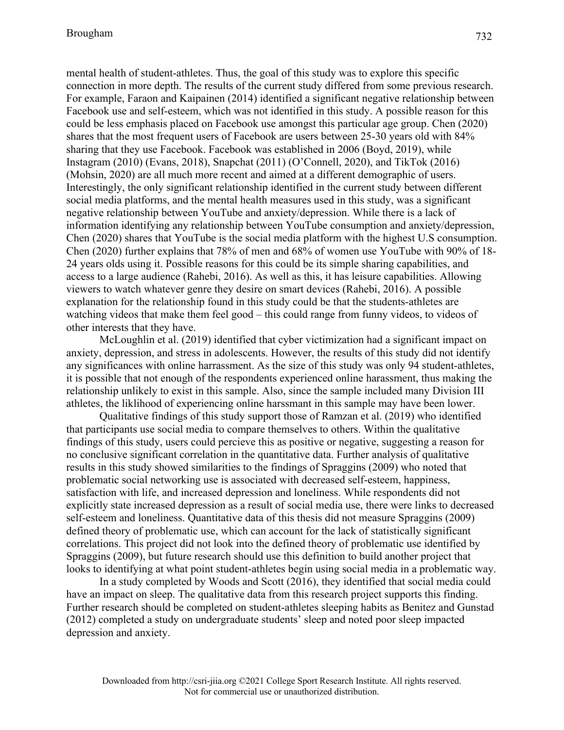mental health of student-athletes. Thus, the goal of this study was to explore this specific connection in more depth. The results of the current study differed from some previous research. For example, Faraon and Kaipainen (2014) identified a significant negative relationship between Facebook use and self-esteem, which was not identified in this study. A possible reason for this could be less emphasis placed on Facebook use amongst this particular age group. Chen (2020) shares that the most frequent users of Facebook are users between 25-30 years old with 84% sharing that they use Facebook. Facebook was established in 2006 (Boyd, 2019), while Instagram (2010) (Evans, 2018), Snapchat (2011) (O'Connell, 2020), and TikTok (2016) (Mohsin, 2020) are all much more recent and aimed at a different demographic of users. Interestingly, the only significant relationship identified in the current study between different social media platforms, and the mental health measures used in this study, was a significant negative relationship between YouTube and anxiety/depression. While there is a lack of information identifying any relationship between YouTube consumption and anxiety/depression, Chen (2020) shares that YouTube is the social media platform with the highest U.S consumption. Chen (2020) further explains that 78% of men and 68% of women use YouTube with 90% of 18- 24 years olds using it. Possible reasons for this could be its simple sharing capabilities, and access to a large audience (Rahebi, 2016). As well as this, it has leisure capabilities. Allowing viewers to watch whatever genre they desire on smart devices (Rahebi, 2016). A possible explanation for the relationship found in this study could be that the students-athletes are watching videos that make them feel good – this could range from funny videos, to videos of other interests that they have.

McLoughlin et al. (2019) identified that cyber victimization had a significant impact on anxiety, depression, and stress in adolescents. However, the results of this study did not identify any significances with online harrassment. As the size of this study was only 94 student-athletes, it is possible that not enough of the respondents experienced online harassment, thus making the relationship unlikely to exist in this sample. Also, since the sample included many Division III athletes, the liklihood of experiencing online harssmant in this sample may have been lower.

Qualitative findings of this study support those of Ramzan et al. (2019) who identified that participants use social media to compare themselves to others. Within the qualitative findings of this study, users could percieve this as positive or negative, suggesting a reason for no conclusive significant correlation in the quantitative data. Further analysis of qualitative results in this study showed similarities to the findings of Spraggins (2009) who noted that problematic social networking use is associated with decreased self-esteem, happiness, satisfaction with life, and increased depression and loneliness. While respondents did not explicitly state increased depression as a result of social media use, there were links to decreased self-esteem and loneliness. Quantitative data of this thesis did not measure Spraggins (2009) defined theory of problematic use, which can account for the lack of statistically significant correlations. This project did not look into the defined theory of problematic use identified by Spraggins (2009), but future research should use this definition to build another project that looks to identifying at what point student-athletes begin using social media in a problematic way.

In a study completed by Woods and Scott (2016), they identified that social media could have an impact on sleep. The qualitative data from this research project supports this finding. Further research should be completed on student-athletes sleeping habits as Benitez and Gunstad (2012) completed a study on undergraduate students' sleep and noted poor sleep impacted depression and anxiety.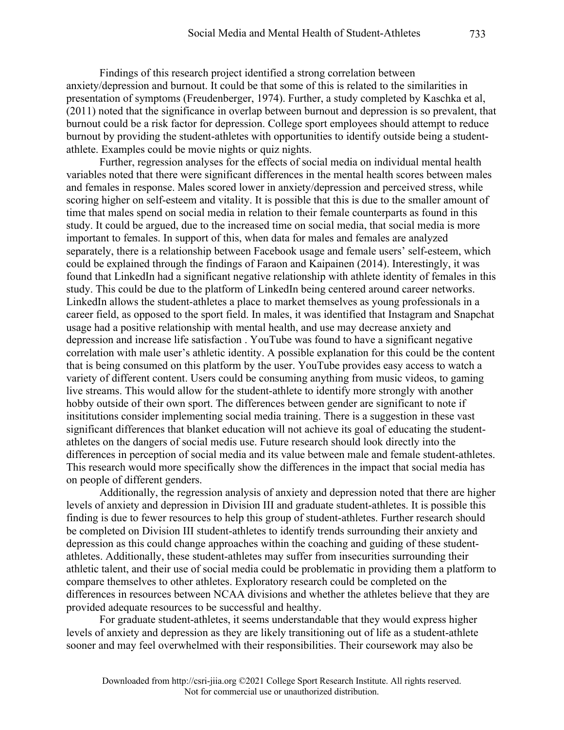Findings of this research project identified a strong correlation between anxiety/depression and burnout. It could be that some of this is related to the similarities in presentation of symptoms (Freudenberger, 1974). Further, a study completed by Kaschka et al, (2011) noted that the significance in overlap between burnout and depression is so prevalent, that burnout could be a risk factor for depression. College sport employees should attempt to reduce burnout by providing the student-athletes with opportunities to identify outside being a studentathlete. Examples could be movie nights or quiz nights.

Further, regression analyses for the effects of social media on individual mental health variables noted that there were significant differences in the mental health scores between males and females in response. Males scored lower in anxiety/depression and perceived stress, while scoring higher on self-esteem and vitality. It is possible that this is due to the smaller amount of time that males spend on social media in relation to their female counterparts as found in this study. It could be argued, due to the increased time on social media, that social media is more important to females. In support of this, when data for males and females are analyzed separately, there is a relationship between Facebook usage and female users' self-esteem, which could be explained through the findings of Faraon and Kaipainen (2014). Interestingly, it was found that LinkedIn had a significant negative relationship with athlete identity of females in this study. This could be due to the platform of LinkedIn being centered around career networks. LinkedIn allows the student-athletes a place to market themselves as young professionals in a career field, as opposed to the sport field. In males, it was identified that Instagram and Snapchat usage had a positive relationship with mental health, and use may decrease anxiety and depression and increase life satisfaction . YouTube was found to have a significant negative correlation with male user's athletic identity. A possible explanation for this could be the content that is being consumed on this platform by the user. YouTube provides easy access to watch a variety of different content. Users could be consuming anything from music videos, to gaming live streams. This would allow for the student-athlete to identify more strongly with another hobby outside of their own sport. The differences between gender are significant to note if insititutions consider implementing social media training. There is a suggestion in these vast significant differences that blanket education will not achieve its goal of educating the studentathletes on the dangers of social medis use. Future research should look directly into the differences in perception of social media and its value between male and female student-athletes. This research would more specifically show the differences in the impact that social media has on people of different genders.

Additionally, the regression analysis of anxiety and depression noted that there are higher levels of anxiety and depression in Division III and graduate student-athletes. It is possible this finding is due to fewer resources to help this group of student-athletes. Further research should be completed on Division III student-athletes to identify trends surrounding their anxiety and depression as this could change approaches within the coaching and guiding of these studentathletes. Additionally, these student-athletes may suffer from insecurities surrounding their athletic talent, and their use of social media could be problematic in providing them a platform to compare themselves to other athletes. Exploratory research could be completed on the differences in resources between NCAA divisions and whether the athletes believe that they are provided adequate resources to be successful and healthy.

For graduate student-athletes, it seems understandable that they would express higher levels of anxiety and depression as they are likely transitioning out of life as a student-athlete sooner and may feel overwhelmed with their responsibilities. Their coursework may also be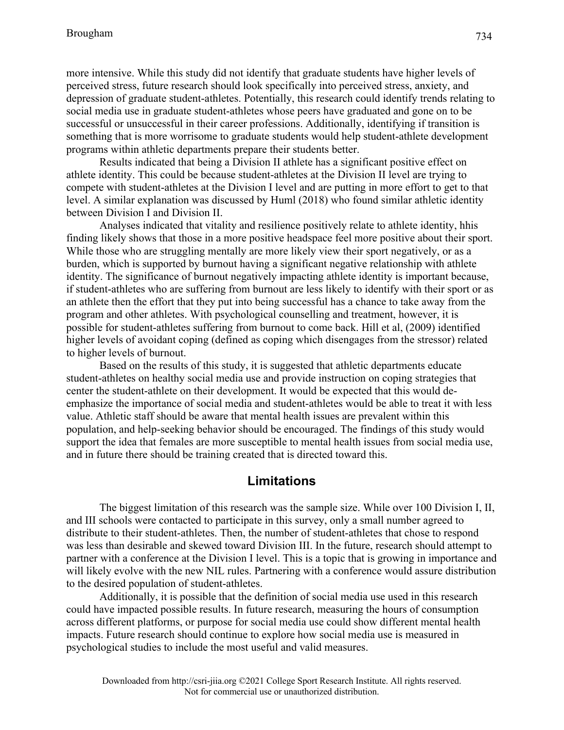more intensive. While this study did not identify that graduate students have higher levels of perceived stress, future research should look specifically into perceived stress, anxiety, and depression of graduate student-athletes. Potentially, this research could identify trends relating to social media use in graduate student-athletes whose peers have graduated and gone on to be successful or unsuccessful in their career professions. Additionally, identifying if transition is something that is more worrisome to graduate students would help student-athlete development programs within athletic departments prepare their students better.

Results indicated that being a Division II athlete has a significant positive effect on athlete identity. This could be because student-athletes at the Division II level are trying to compete with student-athletes at the Division I level and are putting in more effort to get to that level. A similar explanation was discussed by Huml (2018) who found similar athletic identity between Division I and Division II.

Analyses indicated that vitality and resilience positively relate to athlete identity, hhis finding likely shows that those in a more positive headspace feel more positive about their sport. While those who are struggling mentally are more likely view their sport negatively, or as a burden, which is supported by burnout having a significant negative relationship with athlete identity. The significance of burnout negatively impacting athlete identity is important because, if student-athletes who are suffering from burnout are less likely to identify with their sport or as an athlete then the effort that they put into being successful has a chance to take away from the program and other athletes. With psychological counselling and treatment, however, it is possible for student-athletes suffering from burnout to come back. Hill et al, (2009) identified higher levels of avoidant coping (defined as coping which disengages from the stressor) related to higher levels of burnout.

Based on the results of this study, it is suggested that athletic departments educate student-athletes on healthy social media use and provide instruction on coping strategies that center the student-athlete on their development. It would be expected that this would deemphasize the importance of social media and student-athletes would be able to treat it with less value. Athletic staff should be aware that mental health issues are prevalent within this population, and help-seeking behavior should be encouraged. The findings of this study would support the idea that females are more susceptible to mental health issues from social media use, and in future there should be training created that is directed toward this.

# **Limitations**

The biggest limitation of this research was the sample size. While over 100 Division I, II, and III schools were contacted to participate in this survey, only a small number agreed to distribute to their student-athletes. Then, the number of student-athletes that chose to respond was less than desirable and skewed toward Division III. In the future, research should attempt to partner with a conference at the Division I level. This is a topic that is growing in importance and will likely evolve with the new NIL rules. Partnering with a conference would assure distribution to the desired population of student-athletes.

Additionally, it is possible that the definition of social media use used in this research could have impacted possible results. In future research, measuring the hours of consumption across different platforms, or purpose for social media use could show different mental health impacts. Future research should continue to explore how social media use is measured in psychological studies to include the most useful and valid measures.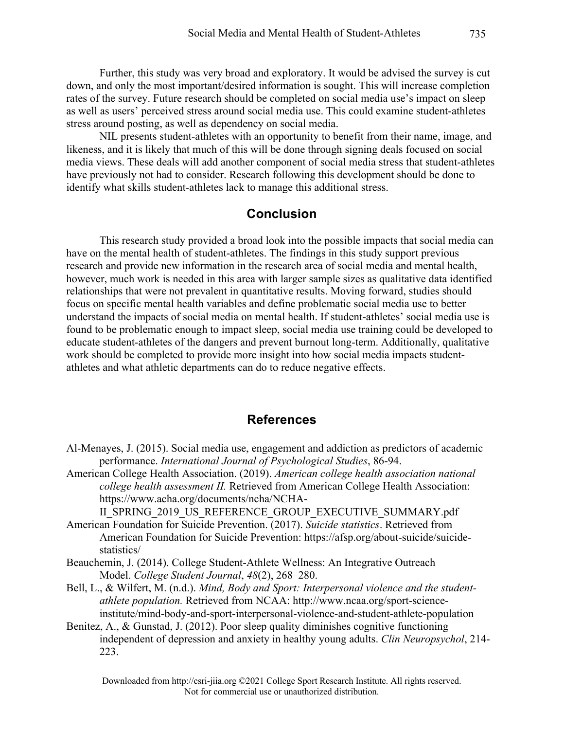Further, this study was very broad and exploratory. It would be advised the survey is cut down, and only the most important/desired information is sought. This will increase completion rates of the survey. Future research should be completed on social media use's impact on sleep as well as users' perceived stress around social media use. This could examine student-athletes stress around posting, as well as dependency on social media.

NIL presents student-athletes with an opportunity to benefit from their name, image, and likeness, and it is likely that much of this will be done through signing deals focused on social media views. These deals will add another component of social media stress that student-athletes have previously not had to consider. Research following this development should be done to identify what skills student-athletes lack to manage this additional stress.

### **Conclusion**

This research study provided a broad look into the possible impacts that social media can have on the mental health of student-athletes. The findings in this study support previous research and provide new information in the research area of social media and mental health, however, much work is needed in this area with larger sample sizes as qualitative data identified relationships that were not prevalent in quantitative results. Moving forward, studies should focus on specific mental health variables and define problematic social media use to better understand the impacts of social media on mental health. If student-athletes' social media use is found to be problematic enough to impact sleep, social media use training could be developed to educate student-athletes of the dangers and prevent burnout long-term. Additionally, qualitative work should be completed to provide more insight into how social media impacts studentathletes and what athletic departments can do to reduce negative effects.

### **References**

- Al-Menayes, J. (2015). Social media use, engagement and addiction as predictors of academic performance. *International Journal of Psychological Studies*, 86-94.
- American College Health Association. (2019). *American college health association national college health assessment II.* Retrieved from American College Health Association: https://www.acha.org/documents/ncha/NCHA-

II\_SPRING\_2019\_US\_REFERENCE\_GROUP\_EXECUTIVE\_SUMMARY.pdf American Foundation for Suicide Prevention. (2017). *Suicide statistics*. Retrieved from

- American Foundation for Suicide Prevention: https://afsp.org/about-suicide/suicidestatistics/
- Beauchemin, J. (2014). College Student-Athlete Wellness: An Integrative Outreach Model. *College Student Journal*, *48*(2), 268–280.
- Bell, L., & Wilfert, M. (n.d.). *Mind, Body and Sport: Interpersonal violence and the studentathlete population.* Retrieved from NCAA: http://www.ncaa.org/sport-scienceinstitute/mind-body-and-sport-interpersonal-violence-and-student-athlete-population
- Benitez, A., & Gunstad, J. (2012). Poor sleep quality diminishes cognitive functioning independent of depression and anxiety in healthy young adults. *Clin Neuropsychol*, 214- 223.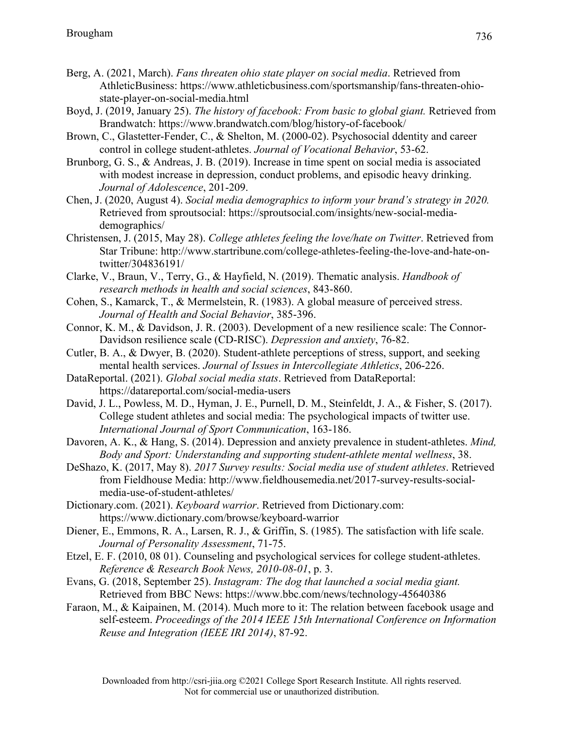- Berg, A. (2021, March). *Fans threaten ohio state player on social media*. Retrieved from AthleticBusiness: https://www.athleticbusiness.com/sportsmanship/fans-threaten-ohiostate-player-on-social-media.html
- Boyd, J. (2019, January 25). *The history of facebook: From basic to global giant.* Retrieved from Brandwatch: https://www.brandwatch.com/blog/history-of-facebook/
- Brown, C., Glastetter-Fender, C., & Shelton, M. (2000-02). Psychosocial ddentity and career control in college student-athletes. *Journal of Vocational Behavior*, 53-62.
- Brunborg, G. S., & Andreas, J. B. (2019). Increase in time spent on social media is associated with modest increase in depression, conduct problems, and episodic heavy drinking. *Journal of Adolescence*, 201-209.
- Chen, J. (2020, August 4). *Social media demographics to inform your brand's strategy in 2020.* Retrieved from sproutsocial: https://sproutsocial.com/insights/new-social-mediademographics/
- Christensen, J. (2015, May 28). *College athletes feeling the love/hate on Twitter*. Retrieved from Star Tribune: http://www.startribune.com/college-athletes-feeling-the-love-and-hate-ontwitter/304836191/
- Clarke, V., Braun, V., Terry, G., & Hayfield, N. (2019). Thematic analysis. *Handbook of research methods in health and social sciences*, 843-860.
- Cohen, S., Kamarck, T., & Mermelstein, R. (1983). A global measure of perceived stress. *Journal of Health and Social Behavior*, 385-396.
- Connor, K. M., & Davidson, J. R. (2003). Development of a new resilience scale: The Connor‐ Davidson resilience scale (CD‐RISC). *Depression and anxiety*, 76-82.
- Cutler, B. A., & Dwyer, B. (2020). Student-athlete perceptions of stress, support, and seeking mental health services. *Journal of Issues in Intercollegiate Athletics*, 206-226.
- DataReportal. (2021). *Global social media stats*. Retrieved from DataReportal: https://datareportal.com/social-media-users
- David, J. L., Powless, M. D., Hyman, J. E., Purnell, D. M., Steinfeldt, J. A., & Fisher, S. (2017). College student athletes and social media: The psychological impacts of twitter use. *International Journal of Sport Communication*, 163-186.
- Davoren, A. K., & Hang, S. (2014). Depression and anxiety prevalence in student-athletes. *Mind, Body and Sport: Understanding and supporting student-athlete mental wellness*, 38.
- DeShazo, K. (2017, May 8). *2017 Survey results: Social media use of student athletes*. Retrieved from Fieldhouse Media: http://www.fieldhousemedia.net/2017-survey-results-socialmedia-use-of-student-athletes/
- Dictionary.com. (2021). *Keyboard warrior*. Retrieved from Dictionary.com: https://www.dictionary.com/browse/keyboard-warrior
- Diener, E., Emmons, R. A., Larsen, R. J., & Griffin, S. (1985). The satisfaction with life scale. *Journal of Personality Assessment*, 71-75.
- Etzel, E. F. (2010, 08 01). Counseling and psychological services for college student-athletes. *Reference & Research Book News, 2010-08-01*, p. 3.
- Evans, G. (2018, September 25). *Instagram: The dog that launched a social media giant.* Retrieved from BBC News: https://www.bbc.com/news/technology-45640386
- Faraon, M., & Kaipainen, M. (2014). Much more to it: The relation between facebook usage and self-esteem. *Proceedings of the 2014 IEEE 15th International Conference on Information Reuse and Integration (IEEE IRI 2014)*, 87-92.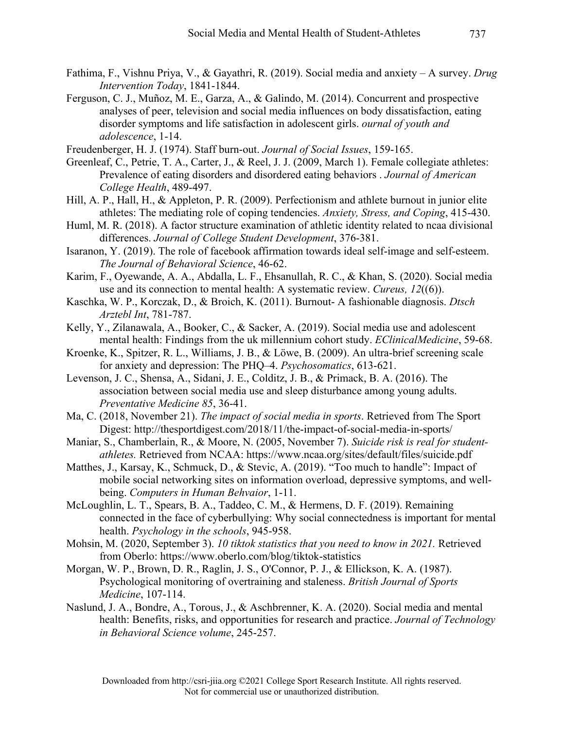- Fathima, F., Vishnu Priya, V., & Gayathri, R. (2019). Social media and anxiety A survey. *Drug Intervention Today*, 1841-1844.
- Ferguson, C. J., Muñoz, M. E., Garza, A., & Galindo, M. (2014). Concurrent and prospective analyses of peer, television and social media influences on body dissatisfaction, eating disorder symptoms and life satisfaction in adolescent girls. *ournal of youth and adolescence*, 1-14.
- Freudenberger, H. J. (1974). Staff burn-out. *Journal of Social Issues*, 159-165.
- Greenleaf, C., Petrie, T. A., Carter, J., & Reel, J. J. (2009, March 1). Female collegiate athletes: Prevalence of eating disorders and disordered eating behaviors . *Journal of American College Health*, 489-497.
- Hill, A. P., Hall, H., & Appleton, P. R. (2009). Perfectionism and athlete burnout in junior elite athletes: The mediating role of coping tendencies. *Anxiety, Stress, and Coping*, 415-430.
- Huml, M. R. (2018). A factor structure examination of athletic identity related to ncaa divisional differences. *Journal of College Student Development*, 376-381.
- Isaranon, Y. (2019). The role of facebook affirmation towards ideal self-image and self-esteem. *The Journal of Behavioral Science*, 46-62.
- Karim, F., Oyewande, A. A., Abdalla, L. F., Ehsanullah, R. C., & Khan, S. (2020). Social media use and its connection to mental health: A systematic review. *Cureus, 12*((6)).
- Kaschka, W. P., Korczak, D., & Broich, K. (2011). Burnout- A fashionable diagnosis. *Dtsch Arztebl Int*, 781-787.
- Kelly, Y., Zilanawala, A., Booker, C., & Sacker, A. (2019). Social media use and adolescent mental health: Findings from the uk millennium cohort study. *EClinicalMedicine*, 59-68.
- Kroenke, K., Spitzer, R. L., Williams, J. B., & Löwe, B. (2009). An ultra-brief screening scale for anxiety and depression: The PHQ–4. *Psychosomatics*, 613-621.
- Levenson, J. C., Shensa, A., Sidani, J. E., Colditz, J. B., & Primack, B. A. (2016). The association between social media use and sleep disturbance among young adults. *Preventative Medicine 85*, 36-41.
- Ma, C. (2018, November 21). *The impact of social media in sports*. Retrieved from The Sport Digest: http://thesportdigest.com/2018/11/the-impact-of-social-media-in-sports/
- Maniar, S., Chamberlain, R., & Moore, N. (2005, November 7). *Suicide risk is real for studentathletes.* Retrieved from NCAA: https://www.ncaa.org/sites/default/files/suicide.pdf
- Matthes, J., Karsay, K., Schmuck, D., & Stevic, A. (2019). "Too much to handle": Impact of mobile social networking sites on information overload, depressive symptoms, and wellbeing. *Computers in Human Behvaior*, 1-11.
- McLoughlin, L. T., Spears, B. A., Taddeo, C. M., & Hermens, D. F. (2019). Remaining connected in the face of cyberbullying: Why social connectedness is important for mental health. *Psychology in the schools*, 945-958.
- Mohsin, M. (2020, September 3). *10 tiktok statistics that you need to know in 2021.* Retrieved from Oberlo: https://www.oberlo.com/blog/tiktok-statistics
- Morgan, W. P., Brown, D. R., Raglin, J. S., O'Connor, P. J., & Ellickson, K. A. (1987). Psychological monitoring of overtraining and staleness. *British Journal of Sports Medicine*, 107-114.
- Naslund, J. A., Bondre, A., Torous, J., & Aschbrenner, K. A. (2020). Social media and mental health: Benefits, risks, and opportunities for research and practice. *Journal of Technology in Behavioral Science volume*, 245-257.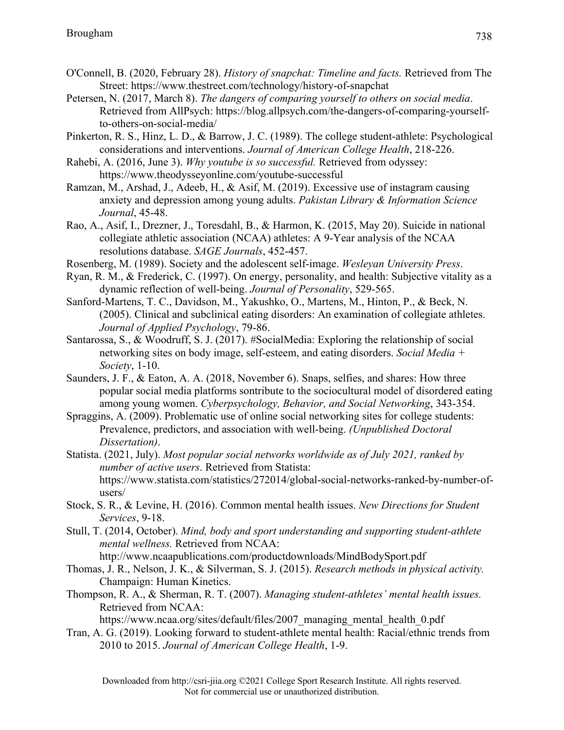- O'Connell, B. (2020, February 28). *History of snapchat: Timeline and facts.* Retrieved from The Street: https://www.thestreet.com/technology/history-of-snapchat
- Petersen, N. (2017, March 8). *The dangers of comparing yourself to others on social media*. Retrieved from AllPsych: https://blog.allpsych.com/the-dangers-of-comparing-yourselfto-others-on-social-media/
- Pinkerton, R. S., Hinz, L. D., & Barrow, J. C. (1989). The college student-athlete: Psychological considerations and interventions. *Journal of American College Health*, 218-226.
- Rahebi, A. (2016, June 3). *Why youtube is so successful.* Retrieved from odyssey: https://www.theodysseyonline.com/youtube-successful
- Ramzan, M., Arshad, J., Adeeb, H., & Asif, M. (2019). Excessive use of instagram causing anxiety and depression among young adults. *Pakistan Library & Information Science Journal*, 45-48.
- Rao, A., Asif, I., Drezner, J., Toresdahl, B., & Harmon, K. (2015, May 20). Suicide in national collegiate athletic association (NCAA) athletes: A 9-Year analysis of the NCAA resolutions database. *SAGE Journals*, 452-457.
- Rosenberg, M. (1989). Society and the adolescent self-image. *Wesleyan University Press*.
- Ryan, R. M., & Frederick, C. (1997). On energy, personality, and health: Subjective vitality as a dynamic reflection of well‐being. *Journal of Personality*, 529-565.
- Sanford-Martens, T. C., Davidson, M., Yakushko, O., Martens, M., Hinton, P., & Beck, N. (2005). Clinical and subclinical eating disorders: An examination of collegiate athletes. *Journal of Applied Psychology*, 79-86.
- Santarossa, S., & Woodruff, S. J. (2017). #SocialMedia: Exploring the relationship of social networking sites on body image, self-esteem, and eating disorders. *Social Media + Society*, 1-10.
- Saunders, J. F., & Eaton, A. A. (2018, November 6). Snaps, selfies, and shares: How three popular social media platforms sontribute to the sociocultural model of disordered eating among young women. *Cyberpsychology, Behavior, and Social Networking*, 343-354.
- Spraggins, A. (2009). Problematic use of online social networking sites for college students: Prevalence, predictors, and association with well-being. *(Unpublished Doctoral Dissertation)*.
- Statista. (2021, July). *Most popular social networks worldwide as of July 2021, ranked by number of active users*. Retrieved from Statista: https://www.statista.com/statistics/272014/global-social-networks-ranked-by-number-ofusers/
- Stock, S. R., & Levine, H. (2016). Common mental health issues. *New Directions for Student Services*, 9-18.
- Stull, T. (2014, October). *Mind, body and sport understanding and supporting student-athlete mental wellness.* Retrieved from NCAA:

http://www.ncaapublications.com/productdownloads/MindBodySport.pdf

- Thomas, J. R., Nelson, J. K., & Silverman, S. J. (2015). *Research methods in physical activity.* Champaign: Human Kinetics.
- Thompson, R. A., & Sherman, R. T. (2007). *Managing student-athletes' mental health issues.* Retrieved from NCAA:

https://www.ncaa.org/sites/default/files/2007 managing mental health 0.pdf

Tran, A. G. (2019). Looking forward to student-athlete mental health: Racial/ethnic trends from 2010 to 2015. *Journal of American College Health*, 1-9.